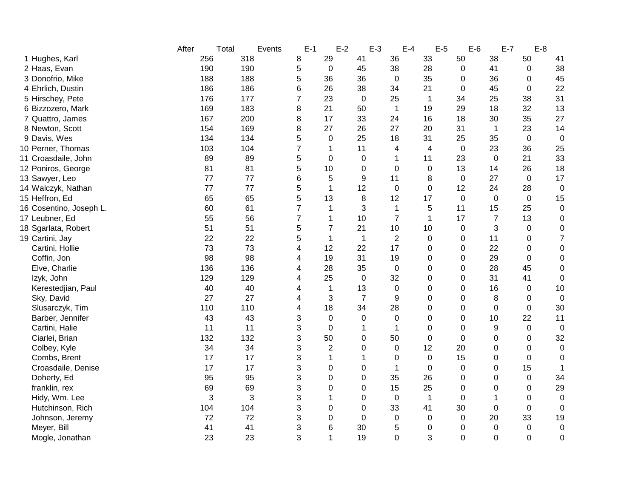|                         | After | Total | Events         | $E-1$          | $E-2$          | $E-3$                   | $E-4$ | $E-5$            | $E-6$          | $E-7$       | $E-8$            |
|-------------------------|-------|-------|----------------|----------------|----------------|-------------------------|-------|------------------|----------------|-------------|------------------|
| 1 Hughes, Karl          | 256   | 318   | 8              | 29             | 41             | 36                      | 33    | 50               | 38             | 50          | 41               |
| 2 Haas, Evan            | 190   | 190   | 5              | 0              | 45             | 38                      | 28    | $\pmb{0}$        | 41             | $\mathbf 0$ | 38               |
| 3 Donofrio, Mike        | 188   | 188   | 5              | 36             | 36             | 0                       | 35    | 0                | 36             | 0           | 45               |
| 4 Ehrlich, Dustin       | 186   | 186   | 6              | 26             | 38             | 34                      | 21    | 0                | 45             | 0           | 22               |
| 5 Hirschey, Pete        | 176   | 177   | $\overline{7}$ | 23             | $\mathbf 0$    | 25                      | 1     | 34               | 25             | 38          | 31               |
| 6 Bizzozero, Mark       | 169   | 183   | 8              | 21             | 50             | $\mathbf{1}$            | 19    | 29               | 18             | 32          | 13               |
| 7 Quattro, James        | 167   | 200   | 8              | 17             | 33             | 24                      | 16    | 18               | 30             | 35          | 27               |
| 8 Newton, Scott         | 154   | 169   | 8              | 27             | 26             | 27                      | 20    | 31               | 1              | 23          | 14               |
| 9 Davis, Wes            | 134   | 134   | 5              | $\pmb{0}$      | 25             | 18                      | 31    | 25               | 35             | 0           | $\mathbf 0$      |
| 10 Perner, Thomas       | 103   | 104   | 7              | 1              | 11             | 4                       | 4     | $\pmb{0}$        | 23             | 36          | 25               |
| 11 Croasdaile, John     | 89    | 89    | 5              | 0              | 0              | 1                       | 11    | 23               | 0              | 21          | 33               |
| 12 Poniros, George      | 81    | 81    | 5              | 10             | 0              | 0                       | 0     | 13               | 14             | 26          | 18               |
| 13 Sawyer, Leo          | 77    | 77    | 6              | 5              | 9              | 11                      | 8     | $\pmb{0}$        | 27             | $\mathbf 0$ | 17               |
| 14 Walczyk, Nathan      | 77    | 77    | 5              | $\mathbf{1}$   | 12             | 0                       | 0     | 12               | 24             | 28          | $\mathbf 0$      |
| 15 Heffron, Ed          | 65    | 65    | 5              | 13             | 8              | 12                      | 17    | $\boldsymbol{0}$ | $\pmb{0}$      | $\pmb{0}$   | 15               |
| 16 Cosentino, Joseph L. | 60    | 61    | 7              | $\mathbf 1$    | 3              | 1                       | 5     | 11               | 15             | 25          | $\pmb{0}$        |
| 17 Leubner, Ed          | 55    | 56    | $\overline{7}$ | 1              | 10             | $\overline{7}$          | 1     | 17               | $\overline{7}$ | 13          | 0                |
| 18 Sgarlata, Robert     | 51    | 51    | 5              | $\overline{7}$ | 21             | 10                      | 10    | $\pmb{0}$        | 3              | 0           | 0                |
| 19 Cartini, Jay         | 22    | 22    | 5              | 1              | 1              | $\overline{\mathbf{c}}$ | 0     | 0                | 11             | 0           | $\overline{7}$   |
| Cartini, Hollie         | 73    | 73    | 4              | 12             | 22             | 17                      | 0     | 0                | 22             | 0           | $\pmb{0}$        |
| Coffin, Jon             | 98    | 98    | 4              | 19             | 31             | 19                      | 0     | 0                | 29             | $\pmb{0}$   | $\pmb{0}$        |
| Elve, Charlie           | 136   | 136   | 4              | 28             | 35             | 0                       | 0     | 0                | 28             | 45          | $\pmb{0}$        |
| Izyk, John              | 129   | 129   | 4              | 25             | $\pmb{0}$      | 32                      | 0     | 0                | 31             | 41          | 0                |
| Kerestedjian, Paul      | 40    | 40    | 4              | $\mathbf 1$    | 13             | $\pmb{0}$               | 0     | 0                | 16             | 0           | 10               |
| Sky, David              | 27    | 27    | 4              | 3              | $\overline{7}$ | 9                       | 0     | 0                | 8              | 0           | $\mathbf 0$      |
| Slusarczyk, Tim         | 110   | 110   | 4              | 18             | 34             | 28                      | 0     | 0                | 0              | 0           | 30               |
| Barber, Jennifer        | 43    | 43    | 3              | $\pmb{0}$      | 0              | 0                       | 0     | 0                | 10             | 22          | 11               |
| Cartini, Halie          | 11    | 11    | 3              | $\pmb{0}$      | 1              | 1                       | 0     | 0                | 9              | 0           | $\mathbf 0$      |
| Ciarlei, Brian          | 132   | 132   | 3              | 50             | 0              | 50                      | 0     | $\boldsymbol{0}$ | 0              | 0           | 32               |
| Colbey, Kyle            | 34    | 34    | 3              | $\overline{2}$ | 0              | 0                       | 12    | 20               | 0              | 0           | $\pmb{0}$        |
| Combs, Brent            | 17    | 17    | 3              | 1              |                | 0                       | 0     | 15               | 0              | 0           | $\mathbf 0$      |
| Croasdaile, Denise      | 17    | 17    | 3              | 0              | 0              | 1                       | 0     | $\pmb{0}$        | 0              | 15          | 1                |
| Doherty, Ed             | 95    | 95    | 3              | 0              | 0              | 35                      | 26    | 0                | 0              | 0           | 34               |
| franklin, rex           | 69    | 69    | 3              | 0              | 0              | 15                      | 25    | 0                | 0              | 0           | 29               |
| Hidy, Wm. Lee           | 3     | 3     | 3              | 1              | 0              | 0                       | 1     | $\pmb{0}$        |                | 0           | $\mathbf 0$      |
| Hutchinson, Rich        | 104   | 104   | 3              | 0              | 0              | 33                      | 41    | 30               | 0              | $\pmb{0}$   | $\mathbf 0$      |
| Johnson, Jeremy         | 72    | 72    | 3              | 0              | 0              | 0                       | 0     | $\pmb{0}$        | 20             | 33          | 19               |
| Meyer, Bill             | 41    | 41    | 3              | 6              | 30             | 5                       | 0     | 0                | 0              | $\pmb{0}$   | $\pmb{0}$        |
| Mogle, Jonathan         | 23    | 23    | 3              | 1              | 19             | 0                       | 3     | 0                | 0              | 0           | $\boldsymbol{0}$ |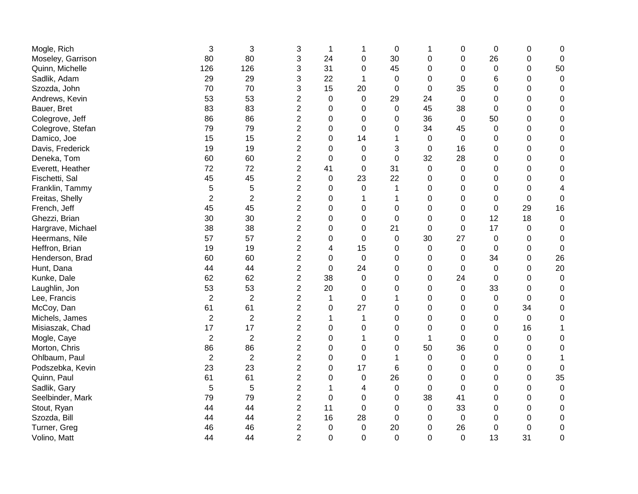| Mogle, Rich       | 3              | 3              | 3                       | 1           | 1                | 0           | 1           | 0                | $\boldsymbol{0}$ | 0                | $\mathbf 0$  |
|-------------------|----------------|----------------|-------------------------|-------------|------------------|-------------|-------------|------------------|------------------|------------------|--------------|
| Moseley, Garrison | 80             | 80             | 3                       | 24          | $\mathbf 0$      | 30          | 0           | 0                | 26               | 0                | $\mathbf 0$  |
| Quinn, Michelle   | 126            | 126            | 3                       | 31          | $\boldsymbol{0}$ | 45          | 0           | 0                | $\mathbf 0$      | 0                | 50           |
| Sadlik, Adam      | 29             | 29             | 3                       | 22          | $\mathbf 1$      | $\mathbf 0$ | 0           | 0                | 6                | 0                | $\mathbf 0$  |
| Szozda, John      | 70             | 70             | 3                       | 15          | 20               | 0           | 0           | 35               | 0                | 0                | 0            |
| Andrews, Kevin    | 53             | 53             | $\overline{2}$          | 0           | $\boldsymbol{0}$ | 29          | 24          | 0                | 0                | 0                | 0            |
| Bauer, Bret       | 83             | 83             | $\overline{2}$          | 0           | 0                | $\mathbf 0$ | 45          | 38               | 0                | 0                | 0            |
| Colegrove, Jeff   | 86             | 86             | $\overline{2}$          | 0           | 0                | $\mathbf 0$ | 36          | $\boldsymbol{0}$ | 50               | 0                | $\pmb{0}$    |
| Colegrove, Stefan | 79             | 79             | $\overline{2}$          | 0           | $\mathbf 0$      | 0           | 34          | 45               | 0                | 0                | 0            |
| Damico, Joe       | 15             | 15             | $\overline{\mathbf{c}}$ | 0           | 14               | 1           | 0           | $\mathbf 0$      | $\mathbf 0$      | 0                | $\mathbf 0$  |
| Davis, Frederick  | 19             | 19             | $\overline{c}$          | 0           | $\boldsymbol{0}$ | 3           | 0           | 16               | 0                | 0                | 0            |
| Deneka, Tom       | 60             | 60             | $\overline{c}$          | 0           | $\boldsymbol{0}$ | $\mathbf 0$ | 32          | 28               | 0                | 0                | $\mathbf 0$  |
| Everett, Heather  | 72             | 72             | $\overline{\mathbf{c}}$ | 41          | $\boldsymbol{0}$ | 31          | 0           | 0                | 0                | 0                | 0            |
| Fischetti, Sal    | 45             | 45             | $\overline{2}$          | 0           | 23               | 22          | 0           | 0                | 0                | 0                | 0            |
| Franklin, Tammy   | 5              | 5              | $\overline{2}$          | 0           | $\boldsymbol{0}$ | 1           | 0           | 0                | 0                | 0                | 4            |
| Freitas, Shelly   | $\overline{2}$ | $\overline{2}$ | $\overline{2}$          | 0           | 1                |             | 0           | 0                | 0                | $\boldsymbol{0}$ | $\mathbf 0$  |
| French, Jeff      | 45             | 45             | $\overline{2}$          | 0           | 0                | $\mathbf 0$ | 0           | 0                | $\mathbf 0$      | 29               | 16           |
| Ghezzi, Brian     | 30             | 30             | $\overline{2}$          | 0           | 0                | $\Omega$    | 0           | $\boldsymbol{0}$ | 12               | 18               | $\pmb{0}$    |
| Hargrave, Michael | 38             | 38             | $\overline{2}$          | 0           | $\mathbf 0$      | 21          | $\pmb{0}$   | $\boldsymbol{0}$ | 17               | 0                | 0            |
| Heermans, Nile    | 57             | 57             | $\overline{2}$          | 0           | $\boldsymbol{0}$ | $\mathbf 0$ | 30          | 27               | $\boldsymbol{0}$ | 0                | 0            |
| Heffron, Brian    | 19             | 19             | $\overline{2}$          | 4           | 15               | 0           | 0           | $\boldsymbol{0}$ | 0                | 0                | $\mathbf{0}$ |
| Henderson, Brad   | 60             | 60             | $\overline{c}$          | 0           | $\boldsymbol{0}$ | 0           | 0           | 0                | 34               | 0                | 26           |
| Hunt, Dana        | 44             | 44             | $\overline{2}$          | $\mathbf 0$ | 24               | $\mathbf 0$ | 0           | 0                | 0                | 0                | 20           |
| Kunke, Dale       | 62             | 62             | $\overline{c}$          | 38          | 0                | 0           | 0           | 24               | $\mathbf 0$      | 0                | 0            |
| Laughlin, Jon     | 53             | 53             | $\overline{2}$          | 20          | 0                | 0           | 0           | 0                | 33               | 0                | 0            |
| Lee, Francis      | $\overline{2}$ | $\overline{2}$ | $\overline{c}$          | 1           | 0                | 1           | 0           | 0                | 0                | 0                | 0            |
| McCoy, Dan        | 61             | 61             | $\overline{2}$          | 0           | 27               | 0           | 0           | 0                | 0                | 34               | 0            |
| Michels, James    | $\overline{2}$ | $\overline{2}$ | $\overline{2}$          |             | 1                | 0           | 0           | 0                | 0                | 0                | $\Omega$     |
| Misiaszak, Chad   | 17             | 17             | $\overline{2}$          | $\Omega$    | 0                | 0           | 0           | 0                | 0                | 16               |              |
| Mogle, Caye       | $\overline{2}$ | $\overline{2}$ | $\overline{2}$          | 0           | $\mathbf{1}$     | 0           | 1           | 0                | 0                | $\mathbf 0$      | 0            |
| Morton, Chris     | 86             | 86             | $\overline{2}$          | 0           | 0                | 0           | 50          | 36               | 0                | 0                | 0            |
| Ohlbaum, Paul     | $\overline{2}$ | $\overline{c}$ | $\boldsymbol{2}$        | 0           | $\mathbf 0$      | 1           | $\mathbf 0$ | 0                | $\overline{0}$   | 0                | 1            |
| Podszebka, Kevin  | 23             | 23             | $\overline{2}$          | 0           | 17               | 6           | 0           | 0                | 0                | 0                | $\Omega$     |
| Quinn, Paul       | 61             | 61             | $\overline{c}$          | 0           | $\mathbf 0$      | 26          | 0           | 0                | 0                | 0                | 35           |
| Sadlik, Gary      | 5              | 5              | 2                       |             | 4                | 0           | 0           | 0                | 0                | 0                | 0            |
| Seelbinder, Mark  | 79             | 79             | $\overline{2}$          | 0           | 0                | 0           | 38          | 41               | 0                | 0                | 0            |
| Stout, Ryan       | 44             | 44             | $\overline{2}$          | 11          | $\boldsymbol{0}$ | 0           | $\pmb{0}$   | 33               | 0                | 0                | $\pmb{0}$    |
| Szozda, Bill      | 44             | 44             | $\overline{2}$          | 16          | 28               | 0           | $\pmb{0}$   | 0                | 0                | 0                | $\pmb{0}$    |
| Turner, Greg      | 46             | 46             | $\boldsymbol{2}$        | $\pmb{0}$   | $\boldsymbol{0}$ | 20          | 0           | 26               | $\mathbf 0$      | 0                | $\pmb{0}$    |
| Volino, Matt      | 44             | 44             | $\overline{2}$          | 0           | $\mathbf 0$      | $\mathbf 0$ | 0           | $\mathbf 0$      | 13               | 31               | $\mathbf 0$  |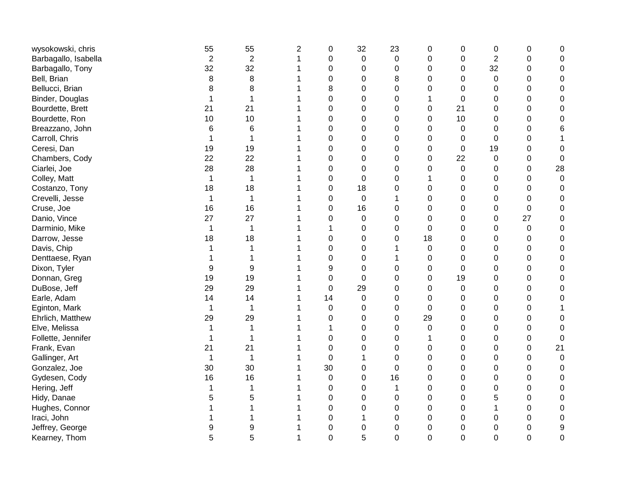| wysokowski, chris    | 55             | 55             | $\mathbf{2}$ | 0           | 32               | 23               | 0                | 0  | 0              | 0              | 0        |
|----------------------|----------------|----------------|--------------|-------------|------------------|------------------|------------------|----|----------------|----------------|----------|
| Barbagallo, Isabella | $\overline{2}$ | $\overline{2}$ | 1            | 0           | 0                | $\pmb{0}$        | 0                | 0  | $\overline{2}$ | 0              | 0        |
| Barbagallo, Tony     | 32             | 32             |              | 0           | 0                | $\boldsymbol{0}$ | 0                | 0  | 32             | 0              | 0        |
| Bell, Brian          | 8              | 8              |              | 0           | 0                | 8                | 0                | 0  | 0              | 0              | 0        |
| Bellucci, Brian      | 8              | 8              |              | 8           | 0                | 0                | 0                | 0  | 0              | 0              | 0        |
| Binder, Douglas      | 1              |                |              | $\Omega$    | 0                | $\Omega$         |                  | 0  | 0              | $\Omega$       | $\Omega$ |
| Bourdette, Brett     | 21             | 21             |              | 0           | 0                | 0                | 0                | 21 | 0              | $\Omega$       | 0        |
| Bourdette, Ron       | 10             | 10             |              | 0           | 0                | $\boldsymbol{0}$ | 0                | 10 | 0              | 0              | 0        |
| Breazzano, John      | 6              | 6              |              | 0           | 0                | 0                | 0                | 0  | 0              | 0              | 6        |
| Carroll, Chris       | 1              | 1              |              | 0           | 0                | 0                | 0                | 0  | 0              | 0              |          |
| Ceresi, Dan          | 19             | 19             |              | 0           | 0                | 0                | 0                | 0  | 19             | 0              | 0        |
| Chambers, Cody       | 22             | 22             |              | 0           | 0                | $\boldsymbol{0}$ | 0                | 22 | 0              | 0              | $\Omega$ |
| Ciarlei, Joe         | 28             | 28             |              | 0           | 0                | 0                | 0                | 0  | 0              | 0              | 28       |
| Colley, Matt         | 1              | $\mathbf 1$    |              | $\Omega$    | $\mathbf 0$      | $\Omega$         |                  | 0  | 0              | $\Omega$       | $\Omega$ |
| Costanzo, Tony       | 18             | 18             |              | 0           | 18               | 0                | 0                | 0  | 0              | 0              | 0        |
| Crevelli, Jesse      | 1              | $\mathbf 1$    |              | $\mathbf 0$ | $\mathbf 0$      | 1                | 0                | 0  | $\mathbf 0$    | 0              | 0        |
| Cruse, Joe           | 16             | 16             |              | 0           | 16               | 0                | 0                | 0  | 0              | $\pmb{0}$      | 0        |
| Danio, Vince         | 27             | 27             |              | 0           | $\boldsymbol{0}$ | 0                | 0                | 0  | 0              | 27             | 0        |
| Darminio, Mike       | 1              | 1              |              | 1           | 0                | 0                | 0                | 0  | 0              | 0              | 0        |
| Darrow, Jesse        | 18             | 18             |              | 0           | 0                | 0                | 18               | 0  | 0              | 0              | 0        |
| Davis, Chip          | 1              |                |              | $\Omega$    | 0                |                  | 0                | 0  | 0              | 0              | $\Omega$ |
| Denttaese, Ryan      | 1              |                |              | 0           | 0                | 1                | 0                | 0  | 0              | 0              | 0        |
| Dixon, Tyler         | 9              | 9              |              | 9           | 0                | $\boldsymbol{0}$ | 0                | 0  | 0              | 0              | 0        |
| Donnan, Greg         | 19             | 19             |              | $\mathbf 0$ | $\mathbf 0$      | 0                | 0                | 19 | 0              | 0              | 0        |
| DuBose, Jeff         | 29             | 29             |              | 0           | 29               | 0                | 0                | 0  | 0              | 0              | 0        |
| Earle, Adam          | 14             | 14             |              | 14          | 0                | 0                | 0                | 0  | 0              | 0              | 0        |
| Eginton, Mark        | 1              | $\mathbf 1$    |              | 0           | 0                | $\boldsymbol{0}$ | 0                | 0  | 0              | 0              |          |
| Ehrlich, Matthew     | 29             | 29             |              | 0           | 0                | 0                | 29               | 0  | 0              | $\Omega$       | 0        |
| Elve, Melissa        | 1              | 1              |              | 1           | $\Omega$         | $\Omega$         | 0                | 0  | 0              | $\Omega$       | 0        |
| Follette, Jennifer   | 1              | $\mathbf 1$    |              | 0           | 0                | 0                |                  | 0  | 0              | 0              | 0        |
| Frank, Evan          | 21             | 21             |              | $\mathbf 0$ | 0                | $\boldsymbol{0}$ | 0                | 0  | $\mathbf 0$    | $\mathbf 0$    | 21       |
| Gallinger, Art       | 1              | 1              |              | $\Omega$    | 1                | 0                | 0                | 0  | 0              | 0              | 0        |
| Gonzalez, Joe        | 30             | 30             |              | 30          | 0                | 0                | 0                | 0  | 0              | 0              | 0        |
| Gydesen, Cody        | 16             | 16             |              | 0           | 0                | 16               | 0                | 0  | 0              | 0              | 0        |
| Hering, Jeff         | 1              |                |              | 0           | 0                | 1                | 0                | 0  | 0              | 0              | 0        |
| Hidy, Danae          | 5              | 5              |              | 0           | $\Omega$         | 0                | 0                | 0  | 5              | $\Omega$       | 0        |
| Hughes, Connor       |                |                |              | 0           | 0                | 0                | 0                | 0  |                | 0              | 0        |
| Iraci, John          |                |                |              | 0           | 1                | $\boldsymbol{0}$ | 0                | 0  | 0              | 0              | 0        |
| Jeffrey, George      | 9              | 9              |              | 0           | 0                | 0                | $\boldsymbol{0}$ | 0  | $\mathbf 0$    | 0              | 9        |
| Kearney, Thom        | 5              | 5              | 1            | $\mathbf 0$ | 5                | $\overline{0}$   | $\overline{0}$   | 0  | $\overline{0}$ | $\overline{0}$ | 0        |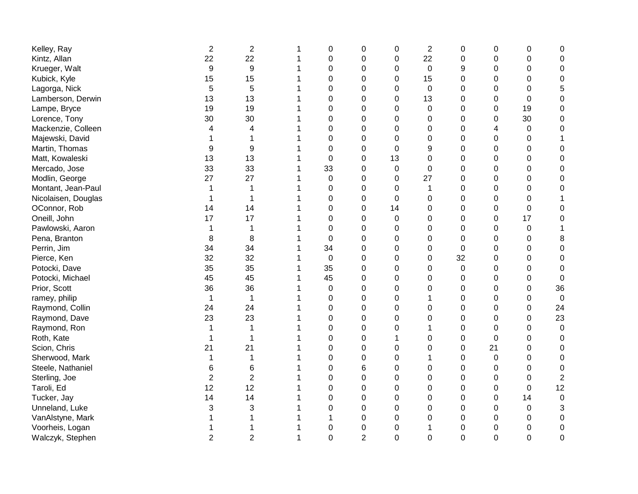| Kelley, Ray         | $\overline{c}$ | $\mathbf 2$    |   | 0              | 0              | 0           | $\overline{2}$   | 0        | 0  | 0                | 0              |
|---------------------|----------------|----------------|---|----------------|----------------|-------------|------------------|----------|----|------------------|----------------|
| Kintz, Allan        | 22             | 22             |   | 0              | 0              | 0           | 22               | 0        | 0  | $\mathbf 0$      | 0              |
| Krueger, Walt       | 9              | 9              |   | 0              | $\mathbf 0$    | 0           | $\boldsymbol{0}$ | 9        | 0  | 0                | 0              |
| Kubick, Kyle        | 15             | 15             |   | 0              | 0              | 0           | 15               | 0        | 0  | 0                | 0              |
| Lagorga, Nick       | 5              | 5              |   | 0              | 0              | 0           | 0                | 0        | 0  | 0                | 5              |
| Lamberson, Derwin   | 13             | 13             |   | 0              | 0              | $\Omega$    | 13               | 0        | 0  | $\Omega$         | 0              |
| Lampe, Bryce        | 19             | 19             |   | 0              | 0              | $\Omega$    | 0                | 0        | 0  | 19               | 0              |
| Lorence, Tony       | 30             | 30             |   | 0              | 0              | 0           | 0                | 0        | 0  | 30               | 0              |
| Mackenzie, Colleen  | 4              | 4              |   | 0              | 0              | 0           | 0                | 0        | 4  | $\mathbf 0$      | 0              |
| Majewski, David     | 1              |                |   | 0              | $\mathbf 0$    | 0           | 0                | 0        | 0  | 0                |                |
| Martin, Thomas      | 9              | 9              |   | 0              | 0              | 0           | 9                | 0        | 0  | 0                | 0              |
| Matt, Kowaleski     | 13             | 13             |   | $\mathbf 0$    | $\mathbf 0$    | 13          | 0                | 0        | 0  | 0                | 0              |
| Mercado, Jose       | 33             | 33             |   | 33             | 0              | 0           | 0                | 0        | 0  | $\Omega$         | 0              |
| Modlin, George      | 27             | 27             |   | $\Omega$       | 0              | 0           | 27               | 0        | 0  | 0                | 0              |
| Montant, Jean-Paul  |                |                |   | 0              | 0              | 0           | 1                | 0        | 0  | $\Omega$         | 0              |
| Nicolaisen, Douglas | 1              | 1              |   | 0              | 0              | 0           | 0                | 0        | 0  | $\mathbf 0$      |                |
| OConnor, Rob        | 14             | 14             |   | 0              | $\mathbf 0$    | 14          | 0                | 0        | 0  | 0                | 0              |
| Oneill, John        | 17             | 17             |   | 0              | 0              | 0           | 0                | 0        | 0  | 17               | 0              |
| Pawlowski, Aaron    | 1              | 1              |   | 0              | 0              | 0           | 0                | 0        | 0  | $\mathbf 0$      |                |
| Pena, Branton       | 8              | 8              |   | $\mathbf 0$    | 0              | $\Omega$    | $\Omega$         | 0        | 0  | $\Omega$         | 8              |
| Perrin, Jim         | 34             | 34             |   | 34             | $\Omega$       | 0           | 0                | $\Omega$ | 0  | 0                | 0              |
| Pierce, Ken         | 32             | 32             |   | $\mathbf 0$    | 0              | 0           | 0                | 32       | 0  | 0                | 0              |
| Potocki, Dave       | 35             | 35             |   | 35             | 0              | 0           | $\boldsymbol{0}$ | 0        | 0  | 0                | 0              |
| Potocki, Michael    | 45             | 45             |   | 45             | 0              | 0           | 0                | 0        | 0  | $\boldsymbol{0}$ | 0              |
| Prior, Scott        | 36             | 36             |   | 0              | $\mathbf 0$    | 0           | 0                | 0        | 0  | $\mathbf 0$      | 36             |
| ramey, philip       | 1              | $\mathbf 1$    |   | 0              | 0              | 0           | 1                | 0        | 0  | 0                | 0              |
| Raymond, Collin     | 24             | 24             |   | 0              | $\mathbf 0$    | 0           | 0                | 0        | 0  | $\mathbf 0$      | 24             |
| Raymond, Dave       | 23             | 23             |   | 0              | 0              | 0           | 0                | 0        | 0  | 0                | 23             |
| Raymond, Ron        | 1              | 1              |   | 0              | 0              | 0           | 1                | 0        | 0  | 0                | 0              |
| Roth, Kate          | 1              | 1              |   | 0              | 0              | 1           | 0                | 0        | 0  | 0                | 0              |
| Scion, Chris        | 21             | 21             |   | 0              | 0              | 0           | 0                | 0        | 21 | $\mathbf 0$      | 0              |
| Sherwood, Mark      |                |                |   | 0              | $\mathbf 0$    | 0           | 1                | 0        | 0  | $\mathbf 0$      | 0              |
| Steele, Nathaniel   | 6              | 6              |   | 0              | 6              | 0           | $\Omega$         | 0        | 0  | 0                | 0              |
| Sterling, Joe       | 2              | $\overline{2}$ |   | 0              | 0              | 0           | 0                | 0        | 0  | $\Omega$         | $\overline{c}$ |
| Taroli, Ed          | 12             | 12             |   | 0              | 0              | 0           | 0                | 0        | 0  | 0                | 12             |
| Tucker, Jay         | 14             | 14             |   | 0              | 0              | 0           | 0                | 0        | 0  | 14               | $\mathbf 0$    |
| Unneland, Luke      | 3              | 3              |   | 0              | 0              | 0           | 0                | 0        | 0  | 0                | 3              |
| VanAlstyne, Mark    |                |                |   |                | 0              | 0           | 0                | 0        | 0  | $\mathbf 0$      | 0              |
| Voorheis, Logan     |                |                |   | 0              | $\mathbf 0$    | 0           | 1                | 0        | 0  | 0                | 0              |
| Walczyk, Stephen    | $\overline{2}$ | $\overline{2}$ | 1 | $\overline{0}$ | $\overline{2}$ | $\mathbf 0$ | 0                | 0        | 0  | $\mathbf 0$      | 0              |